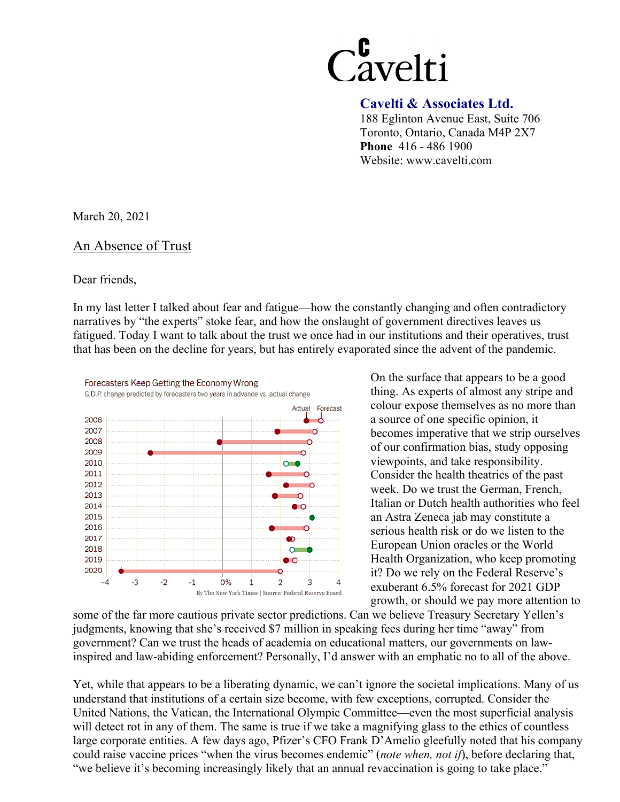# Cavelti

#### **Cavelti & Associates Ltd.**

188 Eglinton Avenue East, Suite 706 Toronto, Ontario, Canada M4P 2X7 **Phone** 416 - 486 1900 Website: www.cavelti.com

March 20, 2021

#### An Absence of Trust

#### Dear friends,

In my last letter I talked about fear and fatigue—how the constantly changing and often contradictory narratives by "the experts" stoke fear, and how the onslaught of government directives leaves us fatigued. Today I want to talk about the trust we once had in our institutions and their operatives, trust that has been on the decline for years, but has entirely evaporated since the advent of the pandemic.



On the surface that appears to be a good thing. As experts of almost any stripe and colour expose themselves as no more than a source of one specific opinion, it becomes imperative that we strip ourselves of our confirmation bias, study opposing viewpoints, and take responsibility. Consider the health theatrics of the past week. Do we trust the German, French, Italian or Dutch health authorities who feel an Astra Zeneca jab may constitute a serious health risk or do we listen to the European Union oracles or the World Health Organization, who keep promoting it? Do we rely on the Federal Reserve's exuberant 6.5% forecast for 2021 GDP growth, or should we pay more attention to

some of the far more cautious private sector predictions. Can we believe Treasury Secretary Yellen's judgments, knowing that she's received \$7 million in speaking fees during her time "away" from government? Can we trust the heads of academia on educational matters, our governments on lawinspired and law-abiding enforcement? Personally, I'd answer with an emphatic no to all of the above.

Yet, while that appears to be a liberating dynamic, we can't ignore the societal implications. Many of us understand that institutions of a certain size become, with few exceptions, corrupted. Consider the United Nations, the Vatican, the International Olympic Committee—even the most superficial analysis will detect rot in any of them. The same is true if we take a magnifying glass to the ethics of countless large corporate entities. A few days ago, Pfizer's CFO Frank D'Amelio gleefully noted that his company could raise vaccine prices "when the virus becomes endemic" (*note when, not if*), before declaring that, "we believe it's becoming increasingly likely that an annual revaccination is going to take place."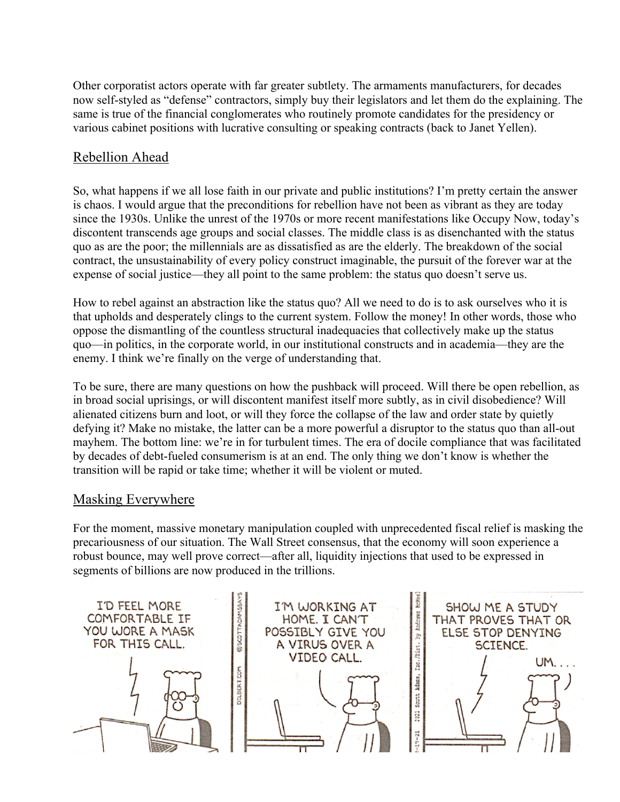Other corporatist actors operate with far greater subtlety. The armaments manufacturers, for decades now self-styled as "defense" contractors, simply buy their legislators and let them do the explaining. The same is true of the financial conglomerates who routinely promote candidates for the presidency or various cabinet positions with lucrative consulting or speaking contracts (back to Janet Yellen).

## Rebellion Ahead

So, what happens if we all lose faith in our private and public institutions? I'm pretty certain the answer is chaos. I would argue that the preconditions for rebellion have not been as vibrant as they are today since the 1930s. Unlike the unrest of the 1970s or more recent manifestations like Occupy Now, today's discontent transcends age groups and social classes. The middle class is as disenchanted with the status quo as are the poor; the millennials are as dissatisfied as are the elderly. The breakdown of the social contract, the unsustainability of every policy construct imaginable, the pursuit of the forever war at the expense of social justice—they all point to the same problem: the status quo doesn't serve us.

How to rebel against an abstraction like the status quo? All we need to do is to ask ourselves who it is that upholds and desperately clings to the current system. Follow the money! In other words, those who oppose the dismantling of the countless structural inadequacies that collectively make up the status quo—in politics, in the corporate world, in our institutional constructs and in academia—they are the enemy. I think we're finally on the verge of understanding that.

To be sure, there are many questions on how the pushback will proceed. Will there be open rebellion, as in broad social uprisings, or will discontent manifest itself more subtly, as in civil disobedience? Will alienated citizens burn and loot, or will they force the collapse of the law and order state by quietly defying it? Make no mistake, the latter can be a more powerful a disruptor to the status quo than all-out mayhem. The bottom line: we're in for turbulent times. The era of docile compliance that was facilitated by decades of debt-fueled consumerism is at an end. The only thing we don't know is whether the transition will be rapid or take time; whether it will be violent or muted.

#### Masking Everywhere

For the moment, massive monetary manipulation coupled with unprecedented fiscal relief is masking the precariousness of our situation. The Wall Street consensus, that the economy will soon experience a robust bounce, may well prove correct—after all, liquidity injections that used to be expressed in segments of billions are now produced in the trillions.

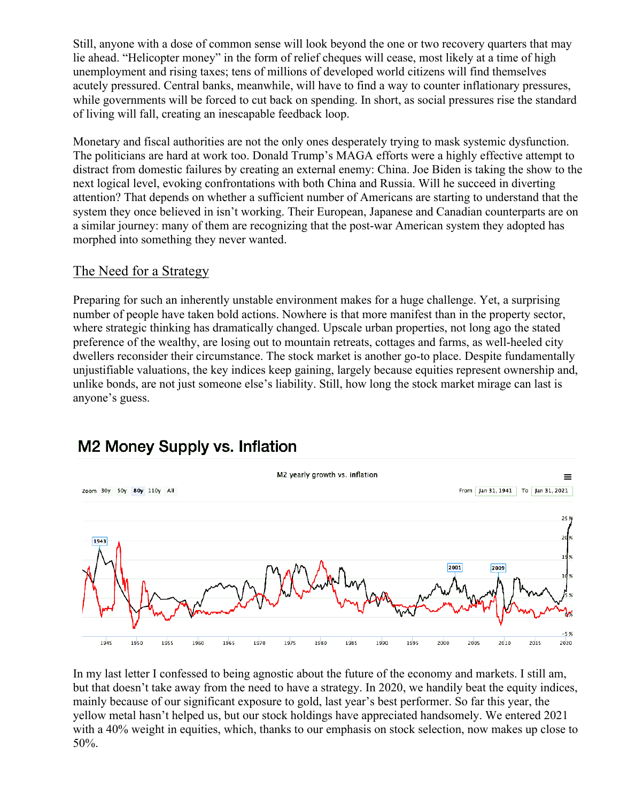Still, anyone with a dose of common sense will look beyond the one or two recovery quarters that may lie ahead. "Helicopter money" in the form of relief cheques will cease, most likely at a time of high unemployment and rising taxes; tens of millions of developed world citizens will find themselves acutely pressured. Central banks, meanwhile, will have to find a way to counter inflationary pressures, while governments will be forced to cut back on spending. In short, as social pressures rise the standard of living will fall, creating an inescapable feedback loop.

Monetary and fiscal authorities are not the only ones desperately trying to mask systemic dysfunction. The politicians are hard at work too. Donald Trump's MAGA efforts were a highly effective attempt to distract from domestic failures by creating an external enemy: China. Joe Biden is taking the show to the next logical level, evoking confrontations with both China and Russia. Will he succeed in diverting attention? That depends on whether a sufficient number of Americans are starting to understand that the system they once believed in isn't working. Their European, Japanese and Canadian counterparts are on a similar journey: many of them are recognizing that the post-war American system they adopted has morphed into something they never wanted.

### The Need for a Strategy

Preparing for such an inherently unstable environment makes for a huge challenge. Yet, a surprising number of people have taken bold actions. Nowhere is that more manifest than in the property sector, where strategic thinking has dramatically changed. Upscale urban properties, not long ago the stated preference of the wealthy, are losing out to mountain retreats, cottages and farms, as well-heeled city dwellers reconsider their circumstance. The stock market is another go-to place. Despite fundamentally unjustifiable valuations, the key indices keep gaining, largely because equities represent ownership and, unlike bonds, are not just someone else's liability. Still, how long the stock market mirage can last is anyone's guess.



# **M2 Money Supply vs. Inflation**

In my last letter I confessed to being agnostic about the future of the economy and markets. I still am, but that doesn't take away from the need to have a strategy. In 2020, we handily beat the equity indices, mainly because of our significant exposure to gold, last year's best performer. So far this year, the yellow metal hasn't helped us, but our stock holdings have appreciated handsomely. We entered 2021 with a 40% weight in equities, which, thanks to our emphasis on stock selection, now makes up close to 50%.